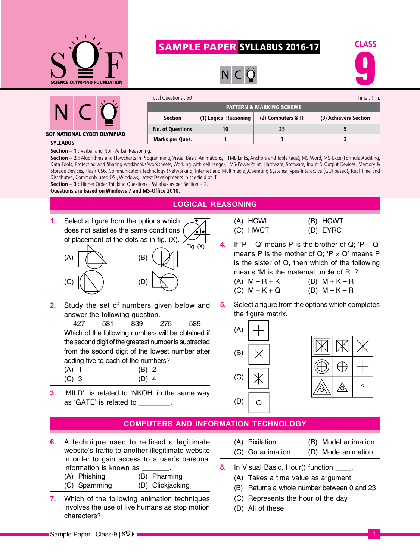

# Sample Paper SYLLABUS 2016-17





SOF National cyber olympiad

| Total Questions: 50                 |                       |                    | Time : 1 hr.          |  |  |
|-------------------------------------|-----------------------|--------------------|-----------------------|--|--|
| <b>PATTERN &amp; MARKING SCHEME</b> |                       |                    |                       |  |  |
| <b>Section</b>                      | (1) Logical Reasoning | (2) Computers & IT | (3) Achievers Section |  |  |
| <b>No. of Questions</b>             |                       | 35                 |                       |  |  |
| Marks per Ques.                     |                       |                    |                       |  |  |

#### **Syllabus**

**Section – 1 :** Verbal and Non-Verbal Reasoning.

**Section – 2 :** Algorithms and Flowcharts in Programming, Visual Basic, Animations, HTML(Links, Anchors and Table tags), MS-Word, MS-Excel(Formula Auditing, Data Tools, Protecting and Sharing workbooks/worksheets, Working with cell range), MS-PowerPoint, Hardware, Software, Input & Output Devices, Memory & Storage Devices, Flash CS6, Communication Technology (Networking, Internet and Multimedia),Operating Systems(Types-Interactive (GUI based), Real Time and Distributed, Commonly used OS), Windows, Latest Developments in the field of IT.

**Section – 3 :** Higher Order Thinking Questions - Syllabus as per Section – 2.

**Questions are based on Windows 7 and MS-Office 2010.**

# **logical reasoning**

**1.** Select a figure from the options which does not satisfies the same conditions of placement of the dots as in fig. (X).



**2.** Study the set of numbers given below and answer the following question.

427 581 839 275 589 Which of the following numbers will be obtained if the second digit of the greatest number is subtracted from the second digit of the lowest number after adding five to each of the numbers?

- (A) 1 (B) 2 (C) 3 (D) 4
- **3.** 'MILD' is related to 'NKOH' in the same way as 'GATE' is related to \_\_\_\_\_\_\_\_.

| (A) HCWI | (B) HCWT |
|----------|----------|
| (C) HWCT | (D) EYRC |

- **4.** If  $P + Q'$  means P is the brother of Q;  $P Q'$ means P is the mother of Q: 'P  $\times$  Q' means P is the sister of Q, then which of the following means 'M is the maternal uncle of R' ? (A)  $M - R + K$  (B)  $M + K - R$ (C)  $M + K + Q$  (D)  $M - K - R$
- **5.** Select a figure from the options which completes the figure matrix.





### **computers and information technology**

- **6.** A technique used to redirect a legitimate website's traffic to another illegitimate website in order to gain access to a user's personal information is known as
	- (A) Phishing (B) Pharming
	- (C) Spamming (D) Clickjacking
- **7.** Which of the following animation techniques involves the use of live humans as stop motion characters?

| (A) Pixilation   | (B) Model animation |
|------------------|---------------------|
| (C) Go animation | (D) Mode animation  |

- **8.** In Visual Basic, Hour() function .
	- (A) Takes a time value as argument
	- (B) Returns a whole number between 0 and 23
	- (C) Represents the hour of the day
	- (D) All of these